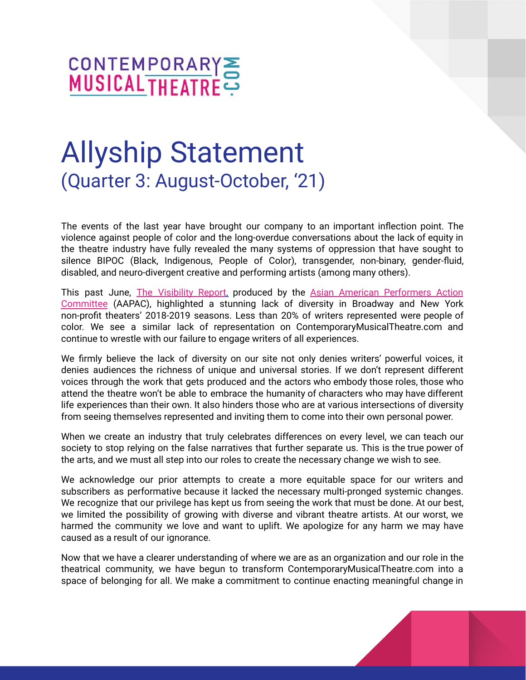

# Allyship Statement (Quarter 3: August-October, '21)

The events of the last year have brought our company to an important inflection point. The violence against people of color and the long-overdue conversations about the lack of equity in the theatre industry have fully revealed the many systems of oppression that have sought to silence BIPOC (Black, Indigenous, People of Color), transgender, non-binary, gender-fluid, disabled, and neuro-divergent creative and performing artists (among many others).

This past June, The [Visibility](http://www.aapacnyc.org/uploads/1/3/5/7/135720209/aapac_report_2018-2019_final.pdf) Report, produced by the Asian American [Performers](http://www.aapacnyc.org) Action [Committee](http://www.aapacnyc.org) (AAPAC), highlighted a stunning lack of diversity in Broadway and New York non-profit theaters' 2018-2019 seasons. Less than 20% of writers represented were people of color. We see a similar lack of representation on ContemporaryMusicalTheatre.com and continue to wrestle with our failure to engage writers of all experiences.

We firmly believe the lack of diversity on our site not only denies writers' powerful voices, it denies audiences the richness of unique and universal stories. If we don't represent different voices through the work that gets produced and the actors who embody those roles, those who attend the theatre won't be able to embrace the humanity of characters who may have different life experiences than their own. It also hinders those who are at various intersections of diversity from seeing themselves represented and inviting them to come into their own personal power.

When we create an industry that truly celebrates differences on every level, we can teach our society to stop relying on the false narratives that further separate us. This is the true power of the arts, and we must all step into our roles to create the necessary change we wish to see.

We acknowledge our prior attempts to create a more equitable space for our writers and subscribers as performative because it lacked the necessary multi-pronged systemic changes. We recognize that our privilege has kept us from seeing the work that must be done. At our best, we limited the possibility of growing with diverse and vibrant theatre artists. At our worst, we harmed the community we love and want to uplift. We apologize for any harm we may have caused as a result of our ignorance.

Now that we have a clearer understanding of where we are as an organization and our role in the theatrical community, we have begun to transform ContemporaryMusicalTheatre.com into a space of belonging for all. We make a commitment to continue enacting meaningful change in

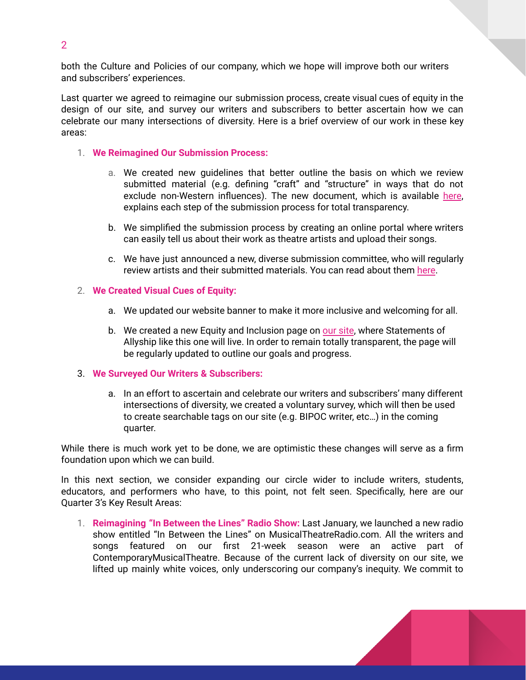both the Culture and Policies of our company, which we hope will improve both our writers and subscribers' experiences.

Last quarter we agreed to reimagine our submission process, create visual cues of equity in the design of our site, and survey our writers and subscribers to better ascertain how we can celebrate our many intersections of diversity. Here is a brief overview of our work in these key areas:

- 1. **We Reimagined Our Submission Process:**
	- a. We created new guidelines that better outline the basis on which we review submitted material (e.g. defining "craft" and "structure" in ways that do not exclude non-Western influences). The new document, which is available [here](https://www.contemporarymusicaltheatre.com/sites/cmtd/files/Updated%20Submission%20Guidelines.8721.pdf), explains each step of the submission process for total transparency.
	- b. We simplified the submission process by creating an online portal where writers can easily tell us about their work as theatre artists and upload their songs.
	- c. We have just announced a new, diverse submission committee, who will regularly review artists and their submitted materials. You can read about them [here](http://www.contemporarymusicaltheatre.com/sites/cmtd/files/Q3%20Submission%20Panel%20.pdf).

#### 2. **We Created Visual Cues of Equity:**

- a. We updated our website banner to make it more inclusive and welcoming for all.
- b. We created a new Equity and Inclusion page on our [site](http://www.contemporarymusicaltheatre.com/content/equity-inclusion), where Statements of Allyship like this one will live. In order to remain totally transparent, the page will be regularly updated to outline our goals and progress.

#### 3. **We Surveyed Our Writers & Subscribers:**

a. In an effort to ascertain and celebrate our writers and subscribers' many different intersections of diversity, we created a voluntary survey, which will then be used to create searchable tags on our site (e.g. BIPOC writer, etc…) in the coming quarter.

While there is much work yet to be done, we are optimistic these changes will serve as a firm foundation upon which we can build.

In this next section, we consider expanding our circle wider to include writers, students, educators, and performers who have, to this point, not felt seen. Specifically, here are our Quarter 3's Key Result Areas:

1. **Reimagining "In Between the Lines" Radio Show:** Last January, we launched a new radio show entitled "In Between the Lines" on MusicalTheatreRadio.com. All the writers and songs featured on our first 21-week season were an active part of ContemporaryMusicalTheatre. Because of the current lack of diversity on our site, we lifted up mainly white voices, only underscoring our company's inequity. We commit to



2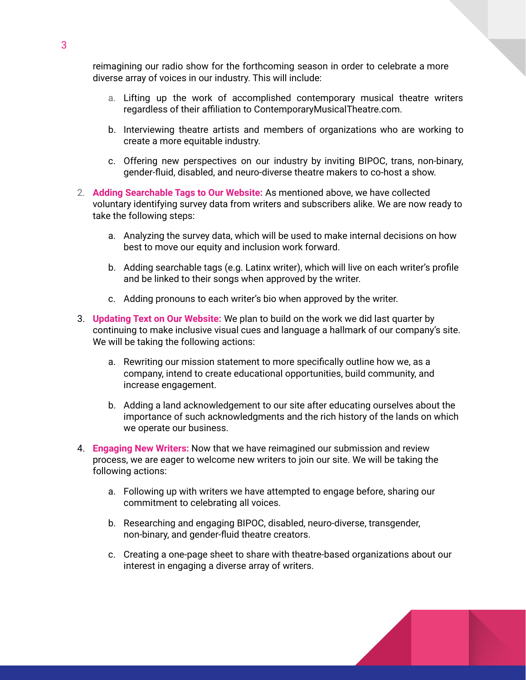reimagining our radio show for the forthcoming season in order to celebrate a more diverse array of voices in our industry. This will include:

- a. Lifting up the work of accomplished contemporary musical theatre writers regardless of their affiliation to ContemporaryMusicalTheatre.com.
- b. Interviewing theatre artists and members of organizations who are working to create a more equitable industry.
- c. Offering new perspectives on our industry by inviting BIPOC, trans, non-binary, gender-fluid, disabled, and neuro-diverse theatre makers to co-host a show.
- 2. **Adding Searchable Tags to Our Website:** As mentioned above, we have collected voluntary identifying survey data from writers and subscribers alike. We are now ready to take the following steps:
	- a. Analyzing the survey data, which will be used to make internal decisions on how best to move our equity and inclusion work forward.
	- b. Adding searchable tags (e.g. Latinx writer), which will live on each writer's profile and be linked to their songs when approved by the writer.
	- c. Adding pronouns to each writer's bio when approved by the writer.
- 3. **Updating Text on Our Website:** We plan to build on the work we did last quarter by continuing to make inclusive visual cues and language a hallmark of our company's site. We will be taking the following actions:
	- a. Rewriting our mission statement to more specifically outline how we, as a company, intend to create educational opportunities, build community, and increase engagement.
	- b. Adding a land acknowledgement to our site after educating ourselves about the importance of such acknowledgments and the rich history of the lands on which we operate our business.
- 4. **Engaging New Writers:** Now that we have reimagined our submission and review process, we are eager to welcome new writers to join our site. We will be taking the following actions:
	- a. Following up with writers we have attempted to engage before, sharing our commitment to celebrating all voices.
	- b. Researching and engaging BIPOC, disabled, neuro-diverse, transgender, non-binary, and gender-fluid theatre creators.
	- c. Creating a one-page sheet to share with theatre-based organizations about our interest in engaging a diverse array of writers.

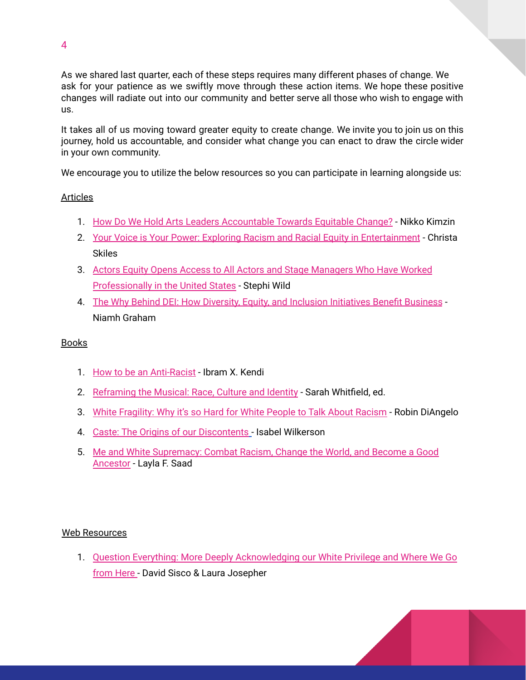As we shared last quarter, each of these steps requires many different phases of change. We ask for your patience as we swiftly move through these action items. We hope these positive changes will radiate out into our community and better serve all those who wish to engage with us.

It takes all of us moving toward greater equity to create change. We invite you to join us on this journey, hold us accountable, and consider what change you can enact to draw the circle wider in your own community.

We encourage you to utilize the below resources so you can participate in learning alongside us:

# Articles

- 1. How Do We Hold Arts Leaders [Accountable](https://nikkokimzin.medium.com) Towards Equitable Change? Nikko Kimzin
- 2. Your Voice is Your Power: Exploring Racism and Racial Equity in [Entertainment](https://dramatics.org/your-voice-is-your-power/) Christa Skiles
- 3. Actors Equity Opens Access to All Actors and Stage [Managers](https://www.broadwayworld.com/article/Actors-Equity-Opens-Access-to-All-Actors-and-Stage-Managers-Who-Have-Worked-Professionally-in-the-United-States-20210721) Who Have Worked [Professionally](https://www.broadwayworld.com/article/Actors-Equity-Opens-Access-to-All-Actors-and-Stage-Managers-Who-Have-Worked-Professionally-in-the-United-States-20210721) in the United States - Stephi Wild
- 4. The Why Behind DEI: How Diversity, Equity, and Inclusion [Initiatives](https://www.workhuman.com/resources/globoforce-blog/the-why-behind-d-i-how-diversity-and-inclusion-initiatives-benefit-business) Benefit Business Niamh Graham

## Books

- 1. How to be an [Anti-Racist](https://www.amazon.com/How-Be-Antiracist-Ibram-Kendi/dp/0525509283) Ibram X. Kendi
- 2. [Reframing](https://www.amazon.com/s?k=reframing+the+musical&crid=BWYGKNIWU4WJ&sprefix=reframing+the+musi%2Cstripbooks%2C143&ref=nb_sb_ss_fb_1_18_ts-doa-p) the Musical: Race, Culture and Identity Sarah Whitfield, ed.
- 3. White [Fragility:](https://www.amazon.com/White-Fragility-People-About-Racism/dp/0807047414/ref=pd_lpo_14_t_0/144-6991702-5345007?_encoding=UTF8&pd_rd_i=0807047414&pd_rd_r=ea2be3ff-3495-47e3-b0fb-22a69efc4984&pd_rd_w=1LpXg&pd_rd_wg=a7Ba8&pf_rd_p=a0d6e967-6561-454c-84f8-2ce2c92b79a6&pf_rd_r=NDT0RX62SB6VRYMYCW7S&psc=1&refRID=NDT0RX62SB6VRYMYCW7S) Why it's so Hard for White People to Talk About Racism Robin DiAngelo
- 4. Caste: The Origins of our [Discontents](https://www.amazon.com/Caste-Origins-Discontents-Isabel-Wilkerson/dp/0593230256) Isabel Wilkerson
- 5. Me and White [Supremacy:](https://www.amazon.com/s?k=me+and+white+supremacy&i=stripbooks&crid=1YC3L0F7UTO1D&sprefix=me+and+white+supre%2Cstripbooks%2C227&ref=nb_sb_ss_ts-doa-p_2_18) Combat Racism, Change the World, and Become a Good [Ancestor](https://www.amazon.com/s?k=me+and+white+supremacy&i=stripbooks&crid=1YC3L0F7UTO1D&sprefix=me+and+white+supre%2Cstripbooks%2C227&ref=nb_sb_ss_ts-doa-p_2_18) - Layla F. Saad

### Web Resources

1. Question Everything: More Deeply [Acknowledging](https://contemporarymusicaltheatre.wordpress.com/2021/04/13/question-everything/) our White Privilege and Where We Go [from](https://contemporarymusicaltheatre.wordpress.com/2021/04/13/question-everything/) Here - David Sisco & Laura Josepher